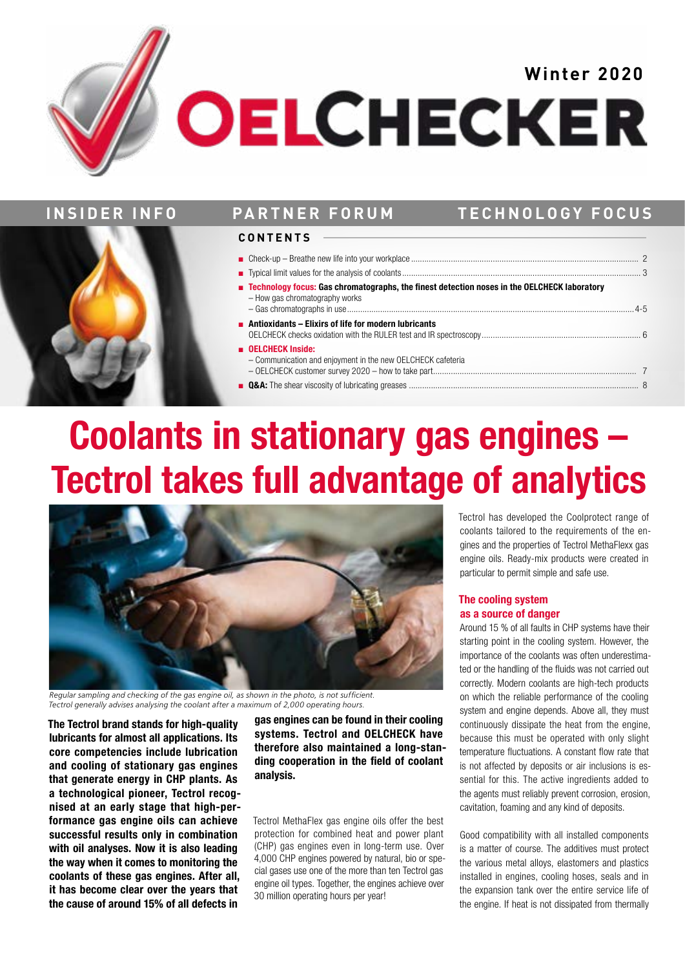# **OELCHECKER**



# **INSIDER INFO PARTNER FORUM TECHNOLOGY FOCUS**

## **CONTENTS**

| ■ Technology focus: Gas chromatographs, the finest detection noses in the OELCHECK laboratory<br>- How gas chromatography works |  |
|---------------------------------------------------------------------------------------------------------------------------------|--|
| <b>Antioxidants – Elixirs of life for modern lubricants</b>                                                                     |  |
| <b>DELCHECK Inside:</b><br>- Communication and enjoyment in the new OELCHECK cafeteria                                          |  |
|                                                                                                                                 |  |

# **Coolants in stationary gas engines – Tectrol takes full advantage of analytics**



*Regular sampling and checking of the gas engine oil, as shown in the photo, is not sufficient. Tectrol generally advises analysing the coolant after a maximum of 2,000 operating hours.*

**The Tectrol brand stands for high-quality lubricants for almost all applications. Its core competencies include lubrication and cooling of stationary gas engines that generate energy in CHP plants. As a technological pioneer, Tectrol recognised at an early stage that high-performance gas engine oils can achieve successful results only in combination with oil analyses. Now it is also leading the way when it comes to monitoring the coolants of these gas engines. After all, it has become clear over the years that the cause of around 15% of all defects in** 

**gas engines can be found in their cooling systems. Tectrol and OELCHECK have therefore also maintained a long-standing cooperation in the field of coolant analysis.**

Tectrol MethaFlex gas engine oils offer the best protection for combined heat and power plant (CHP) gas engines even in long-term use. Over 4,000 CHP engines powered by natural, bio or special gases use one of the more than ten Tectrol gas engine oil types. Together, the engines achieve over 30 million operating hours per year!

Tectrol has developed the Coolprotect range of coolants tailored to the requirements of the engines and the properties of Tectrol MethaFlexx gas engine oils. Ready-mix products were created in particular to permit simple and safe use.

## **The cooling system as a source of danger**

Around 15 % of all faults in CHP systems have their starting point in the cooling system. However, the importance of the coolants was often underestimated or the handling of the fluids was not carried out correctly. Modern coolants are high-tech products on which the reliable performance of the cooling system and engine depends. Above all, they must continuously dissipate the heat from the engine, because this must be operated with only slight temperature fluctuations. A constant flow rate that is not affected by deposits or air inclusions is essential for this. The active ingredients added to the agents must reliably prevent corrosion, erosion, cavitation, foaming and any kind of deposits.

Good compatibility with all installed components is a matter of course. The additives must protect the various metal alloys, elastomers and plastics installed in engines, cooling hoses, seals and in the expansion tank over the entire service life of the engine. If heat is not dissipated from thermally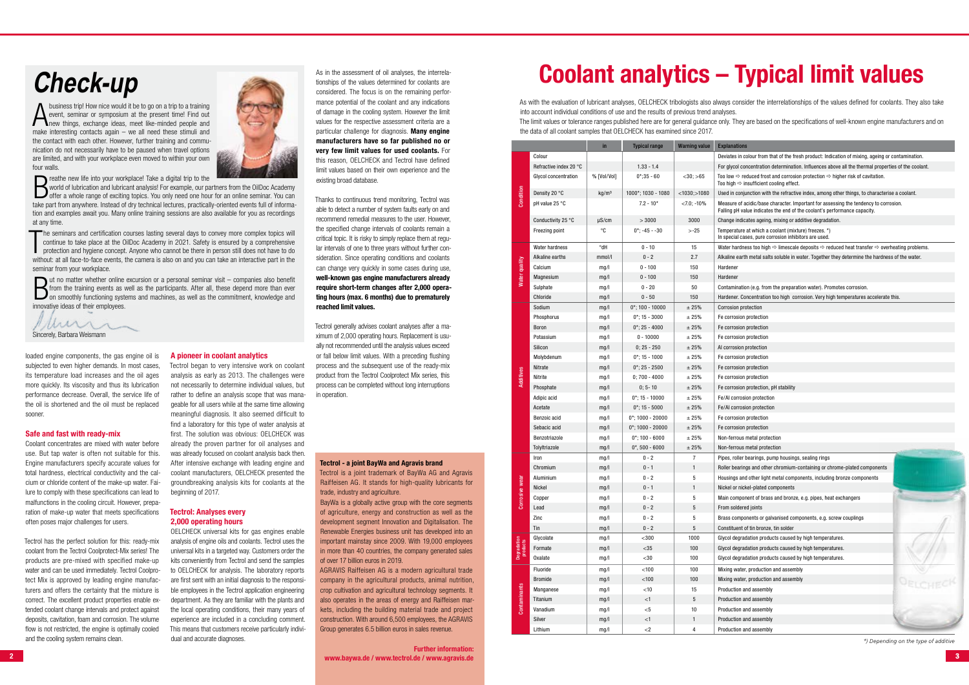loaded engine components, the gas engine oil is subjected to even higher demands. In most cases, its temperature load increases and the oil ages more quickly. Its viscosity and thus its lubrication performance decrease. Overall, the service life of the oil is shortened and the oil must be replaced sooner.

## **Safe and fast with ready-mix**

Coolant concentrates are mixed with water before use. But tap water is often not suitable for this. Engine manufacturers specify accurate values for total hardness, electrical conductivity and the calcium or chloride content of the make-up water. Failure to comply with these specifications can lead to malfunctions in the cooling circuit. However, preparation of make-up water that meets specifications often poses major challenges for users.

Tectrol has the perfect solution for this: ready-mix coolant from the Tectrol Coolprotect-Mix series! The products are pre-mixed with specified make-up water and can be used immediately. Tectrol Coolprotect Mix is approved by leading engine manufacturers and offers the certainty that the mixture is correct. The excellent product properties enable extended coolant change intervals and protect against deposits, cavitation, foam and corrosion. The volume flow is not restricted, the engine is optimally cooled and the cooling system remains clean.

## **A pioneer in coolant analytics**

Tectrol began to very intensive work on coolant analysis as early as 2013. The challenges were not necessarily to determine individual values, but rather to define an analysis scope that was manageable for all users while at the same time allowing meaningful diagnosis. It also seemed difficult to find a laboratory for this type of water analysis at first. The solution was obvious: OELCHECK was already the proven partner for oil analyses and was already focused on coolant analysis back then. After intensive exchange with leading engine and coolant manufacturers, OELCHECK presented the groundbreaking analysis kits for coolants at the beginning of 2017.

# **Tectrol: Analyses every 2,000 operating hours**

A business trip! How nice would it be to go on a trip to a training event, seminar or symposium at the present time! Find out new things, exchange ideas, meet like-minded people and event, seminar or symposium at the present time! Find out make interesting contacts again – we all need these stimuli and the contact with each other. However, further training and communication do not necessarily have to be paused when travel options are limited, and with your workplace even moved to within your own four walls.



OELCHECK universal kits for gas engines enable analysis of engine oils and coolants. Tectrol uses the universal kits in a targeted way. Customers order the kits conveniently from Tectrol and send the samples to OELCHECK for analysis. The laboratory reports are first sent with an initial diagnosis to the responsible employees in the Tectrol application engineering department. As they are familiar with the plants and the local operating conditions, their many years of experience are included in a concluding comment. This means that customers receive particularly individual and accurate diagnoses.

**Example:** The new life into your workplace! Take a digital trip to the world of lubrication and lubricant analysis! For example, our particle of the a whole range of exciting topics. You only need one hours world of lubrication and lubricant analysis! For example, our partners from the OilDoc Academy offer a whole range of exciting topics. You only need one hour for an online seminar. You can take part from anywhere. Instead of dry technical lectures, practically-oriented events full of information and examples await you. Many online training sessions are also available for you as recordings at any time.

The seminars and certification courses lasting several days to convey more complex topics will continue to take place at the OilDoc Academy in 2021. Safety is ensured by a comprehensive protection and hygiene concept. Anyo he seminars and certification courses lasting several days to convey more complex topics will continue to take place at the OilDoc Academy in 2021. Safety is ensured by a comprehensive without: at all face-to-face events, the camera is also on and you can take an interactive part in the seminar from your workplace.

**But no matter whether online excursion or a personal seminar visit – companies also benefit from the training events as well as the participants. After all, these depend more than ever on smoothly functioning systems and** from the training events as well as the participants. After all, these depend more than ever on smoothly functioning systems and machines, as well as the commitment, knowledge and innovative ideas of their employees.

Muri 1 Sincerely, Barbara Weismann

As in the assessment of oil analyses, the interrelationships of the values determined for coolants are considered. The focus is on the remaining performance potential of the coolant and any indications of damage in the cooling system. However the limit values for the respective assessment criteria are a particular challenge for diagnosis. **Many engine manufacturers have so far published no or very few limit values for used coolants.** For this reason, OELCHECK and Tectrol have defined limit values based on their own experience and the existing broad database.

# **2 3 www.baywa.de / www.tectrol.de / www.agravis.de Further information:**

Thanks to continuous trend monitoring, Tectrol was able to detect a number of system faults early on and recommend remedial measures to the user. However, the specified change intervals of coolants remain a critical topic. It is risky to simply replace them at regular intervals of one to three years without further consideration. Since operating conditions and coolants can change very quickly in some cases during use, **well-known gas engine manufacturers already require short-term changes after 2,000 operating hours (max. 6 months) due to prematurely reached limit values.** 

Tectrol generally advises coolant analyses after a maximum of 2,000 operating hours. Replacement is usually not recommended until the analysis values exceed or fall below limit values. With a preceding flushing process and the subsequent use of the ready-mix product from the Tectrol Coolprotect Mix series, this process can be completed without long interruptions in operation.

# **Check-up**

#### **Tectrol - a joint BayWa and Agravis brand**

Tectrol is a joint trademark of BayWa AG and Agravis Raiffeisen AG. It stands for high-quality lubricants for trade, industry and agriculture.

BayWa is a globally active group with the core segments of agriculture, energy and construction as well as the development segment Innovation and Digitalisation. The Renewable Energies business unit has developed into an important mainstay since 2009. With 19,000 employees in more than 40 countries, the company generated sales of over 17 billion euros in 2019.

AGRAVIS Raiffeisen AG is a modern agricultural trade company in the agricultural products, animal nutrition, crop cultivation and agricultural technology segments. It also operates in the areas of energy and Raiffeisen markets, including the building material trade and project construction. With around 6,500 employees, the AGRAVIS Group generates 6.5 billion euros in sales revenue.

# **Coolant analytics – Typical limit values**

As with the evaluation of lubricant analyses, OELCHECK tribologists also always consider the interrelationships of the values defined for coolants. They also take into account individual conditions of use and the results of previous trend analyses. The limit values or tolerance ranges published here are for general guidance only. They are based on the specifications of well-known engine manufacturers and on the data of all coolant samples that OELCHECK has examined since 2017.

|                         |                        | in                | <b>Typical range</b> | <b>Warning value</b> | <b>Explanations</b>                                                                                                                                               |
|-------------------------|------------------------|-------------------|----------------------|----------------------|-------------------------------------------------------------------------------------------------------------------------------------------------------------------|
|                         | Colour                 |                   |                      |                      | Deviates in colour from that of the fresh product: Indication of mixing, ageing or contamination.                                                                 |
|                         | Refractive index 20 °C |                   | $1.33 - 1.4$         |                      | For glycol concentration determination. Influences above all the thermal properties of the coolant.                                                               |
|                         | Glycol concentration   | % [Vol/Vol]       | $0^*$ ; 35 - 60      | $<$ 30; $>$ 65       | Too low $\Rightarrow$ reduced frost and corrosion protection $\Rightarrow$ higher risk of cavitation.<br>Too high $\Rightarrow$ insufficient cooling effect.      |
| Condition               | Density 20 °C          | kg/m <sup>3</sup> | 1000*; 1030 - 1080   | $<$ 1030;>1080       | Used in conjunction with the refractive index, among other things, to characterise a coolant.                                                                     |
|                         | pH value 25 °C         |                   | $7.2 - 10*$          | $< 7.0$ ; -10%       | Measure of acidic/base character. Important for assessing the tendency to corrosion.<br>Falling pH value indicates the end of the coolant's performance capacity. |
|                         | Conductivity 25 °C     | $\mu$ S/cm        | > 3000               | 3000                 | Change indicates ageing, mixing or additive degradation.                                                                                                          |
|                         | Freezing point         | °C                | $0^*$ ; -45 - -30    | $> -25$              | Temperature at which a coolant (mixture) freezes. *)<br>In special cases, pure corrosion inhibitors are used.                                                     |
|                         | Water hardness         | Hb°               | $0 - 10$             | 15                   | Water hardness too high $\Rightarrow$ limescale deposits $\Rightarrow$ reduced heat transfer $\Rightarrow$ overheating problems.                                  |
|                         | Alkaline earths        | mmol/l            | $0 - 2$              | 2.7                  | Alkaline earth metal salts soluble in water. Together they determine the hardness of the water.                                                                   |
| Water quality           | Calcium                | mg/l              | $0 - 100$            | 150                  | Hardener                                                                                                                                                          |
|                         | Magnesium              | mg/l              | $0 - 100$            | 150                  | Hardener                                                                                                                                                          |
|                         | Sulphate               | mg/l              | $0 - 20$             | 50                   | Contamination (e.g. from the preparation water). Promotes corrosion.                                                                                              |
|                         | Chloride               | mg/l              | $0 - 50$             | 150                  | Hardener. Concentration too high corrosion. Very high temperatures accelerate this.                                                                               |
|                         | Sodium                 | mg/l              | $0^*$ ; 100 - 10000  | ±25%                 | <b>Corrosion protection</b>                                                                                                                                       |
|                         | Phosphorus             | mg/l              | $0^*$ ; 15 - 3000    | ± 25%                | Fe corrosion protection                                                                                                                                           |
|                         | Boron                  | mg/l              | $0$ *; 25 - 4000     | ± 25%                | Fe corrosion protection                                                                                                                                           |
|                         | Potassium              | mg/l              | $0 - 10000$          | ± 25%                | Fe corrosion protection                                                                                                                                           |
|                         | Silicon                | mg/l              | $0; 25 - 250$        | ± 25%                | Al corrosion protection                                                                                                                                           |
|                         | Molybdenum             | mg/l              | $0^*$ ; 15 - 1000    | ± 25%                | Fe corrosion protection                                                                                                                                           |
|                         | Nitrate                | mg/l              | $0$ *; 25 - 2500     | ± 25%                | Fe corrosion protection                                                                                                                                           |
| Additives               | Nitrite                | mg/l              | $0;700 - 4000$       | ± 25%                | Fe corrosion protection                                                                                                                                           |
|                         | Phosphate              | mg/l              | $0:5 - 10$           | ± 25%                | Fe corrosion protection, pH stability                                                                                                                             |
|                         | Adipic acid            | mg/l              | $0^*$ ; 15 - 10000   | ± 25%                | Fe/Al corrosion protection                                                                                                                                        |
|                         | Acetate                | mg/l              | $0^*$ ; 15 - 5000    | ± 25%                | Fe/AI corrosion protection                                                                                                                                        |
|                         | Benzoic acid           | mg/l              | $0^*$ ; 1000 - 20000 | ± 25%                | Fe corrosion protection                                                                                                                                           |
|                         | Sebacic acid           | mg/l              | $0^*$ ; 1000 - 20000 | ± 25%                | Fe corrosion protection                                                                                                                                           |
|                         | Benzotriazole          | mg/l              | $0^*$ ; 100 - 6000   | ± 25%                | Non-ferrous metal protection                                                                                                                                      |
|                         | TolyItriazole          | mg/l              | $0^*$ , 500 - 6000   | ± 25%                | Non-ferrous metal protection                                                                                                                                      |
|                         | Iron                   | mg/l              | $0 - 2$              | 7                    | Pipes, roller bearings, pump housings, sealing rings                                                                                                              |
|                         | Chromium               | mg/l              | $0 - 1$              | $\mathbf{1}$         | Roller bearings and other chromium-containing or chrome-plated components                                                                                         |
|                         | Aluminium              | mg/l              | $0 - 2$              | 5                    | Housings and other light metal components, including bronze components                                                                                            |
|                         | Nickel                 | mg/l              | $0 - 1$              | $\mathbf{1}$         | Nickel or nickel-plated components                                                                                                                                |
| rrosive wear            | Copper                 | mg/l              | $0 - 2$              | 5                    | Main component of brass and bronze, e.g. pipes, heat exchangers                                                                                                   |
| త                       | Lead                   | mg/l              | $0 - 2$              | 5                    | From soldered joints                                                                                                                                              |
|                         | Zinc                   | mg/l              | $0 - 2$              | 5                    | Brass components or galvanised components, e.g. screw couplings                                                                                                   |
|                         | Tin                    | mg/l              | $0 - 2$              | $5\phantom{.0}$      | Constituent of tin bronze, tin solder                                                                                                                             |
|                         | Glycolate              | mg/l              | $<$ 300 $\,$         | 1000                 | Glycol degradation products caused by high temperatures.                                                                                                          |
| Degradation<br>products | Formate                | mg/l              | $<$ 35 $\,$          | 100                  | Glycol degradation products caused by high temperatures.                                                                                                          |
|                         | <b>Oxalate</b>         | mg/l              | $30$                 | 100                  | Glycol degradation products caused by high temperatures.                                                                                                          |
|                         | Fluoride               | mg/l              | $<$ 100              | 100                  | Mixing water, production and assembly                                                                                                                             |
|                         | <b>Bromide</b>         | mg/l              | $<$ 100              | 100                  | Mixing water, production and assembly                                                                                                                             |
|                         | Manganese              | mg/l              | $<$ 10               | 15                   | Production and assembly                                                                                                                                           |
| Contaminants            | Titanium               | mg/l              | $<$ 1                | $\sqrt{5}$           | Production and assembly                                                                                                                                           |
|                         | Vanadium               | mg/l              | $<$ 5                | $10\,$               | Production and assembly                                                                                                                                           |
|                         | Silver                 | mg/l              | $<1\,$               | $\mathbf{1}$         | Production and assembly                                                                                                                                           |
|                         | Lithium                | mg/l              | ${<}2$               | $\overline{4}$       | Production and assembly                                                                                                                                           |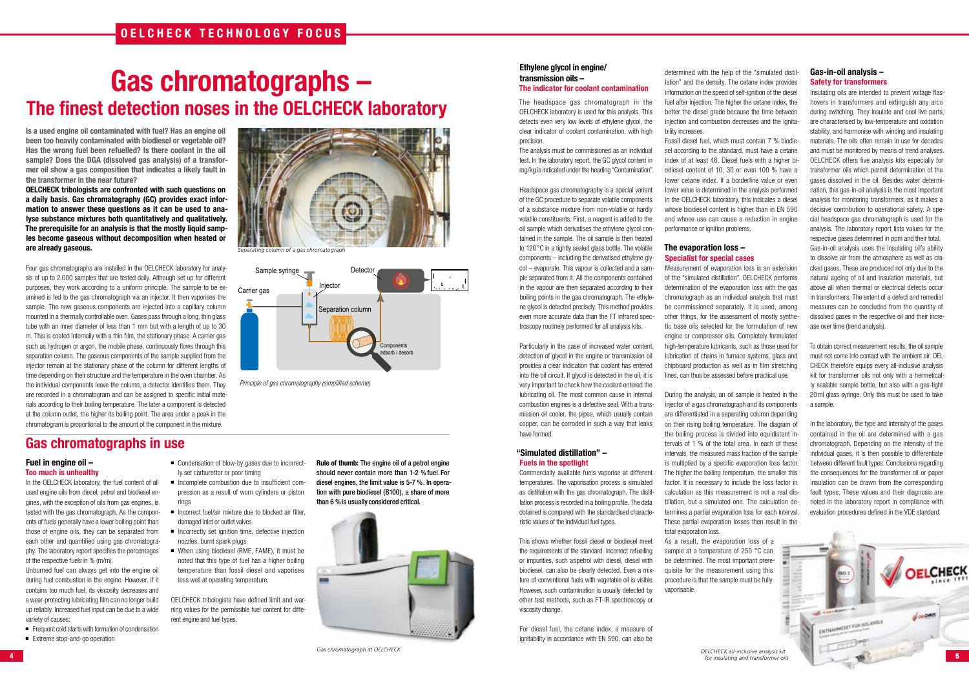

# **Gas chromatographs – The finest detection noses in the OELCHECK laboratory**

**Is a used engine oil contaminated with fuel? Has an engine oil been too heavily contaminated with biodiesel or vegetable oil? Has the wrong fuel been refuelled? Is there coolant in the oil sample? Does the DGA (dissolved gas analysis) of a transformer oil show a gas composition that indicates a likely fault in the transformer in the near future?**

**OELCHECK tribologists are confronted with such questions on a daily basis. Gas chromatography (GC) provides exact information to answer these questions as it can be used to analyse substance mixtures both quantitatively and qualitatively. The prerequisite for an analysis is that the mostly liquid samples become gaseous without decomposition when heated or are already gaseous.** 

Four gas chromatographs are installed in the OELCHECK laboratory for analysis of up to 2,000 samples that are tested daily. Although set up for different purposes, they work according to a uniform principle. The sample to be examined is fed to the gas chromatograph via an injector. It then vaporises the sample. The now gaseous components are injected into a capillary column mounted in a thermally controllable oven. Gases pass through a long, thin glass tube with an inner diameter of less than 1 mm but with a length of up to 30 m. This is coated internally with a thin film, the stationary phase. A carrier gas such as hydrogen or argon, the mobile phase, continuously flows through this separation column. The gaseous components of the sample supplied from the injector remain at the stationary phase of the column for different lengths of time depending on their structure and the temperature in the oven chamber. As the individual components leave the column, a detector identifies them. They are recorded in a chromatogram and can be assigned to specific initial materials according to their boiling temperature. The later a component is detected at the column outlet, the higher its boiling point. The area under a peak in the chromatogram is proportional to the amount of the component in the mixture.

- Condensation of blow-by gases due to incorrectly set carburettor or poor timing
- $\blacksquare$  Incomplete combustion due to insufficient compression as a result of worn cylinders or piston rings
- $\blacksquare$  Incorrect fuel/air mixture due to blocked air filter, damaged inlet or outlet valves
- $\blacksquare$  Incorrectly set ignition time, defective injection nozzles, burnt spark plugs
- When using biodiesel (RME, FAME), it must be noted that this type of fuel has a higher boiling temperature than fossil diesel and vaporises less well at operating temperature.

**Rule of thumb:** The engine oil of a petrol engine should never contain more than 1-2 % fuel. For diesel engines, the limit value is 5-7 %. In operation with pure biodiesel (B100), a share of more than 6 % is usually considered critical.



## **Fuel in engine oil – Too much is unhealthy**

In the OELCHECK laboratory, the fuel content of all used engine oils from diesel, petrol and biodiesel engines, with the exception of oils from gas engines, is tested with the gas chromatograph. As the components of fuels generally have a lower boiling point than those of engine oils, they can be separated from each other and quantified using gas chromatography. The laboratory report specifies the percentages of the respective fuels in % (m/m).

Unburned fuel can always get into the engine oil during fuel combustion in the engine. However, if it contains too much fuel, its viscosity decreases and a wear-protecting lubricating film can no longer build up reliably. Increased fuel input can be due to a wide variety of causes:

- Frequent cold starts with formation of condensation
- Extreme stop-and-go operation

Fossil diesel fuel, which must contain 7 % biodiesel according to the standard, must have a cetane index of at least 46. Diesel fuels with a higher biodiesel content of 10, 30 or even 100 % have a lower cetane index. If a borderline value or even lower value is determined in the analysis performed in the OELCHECK laboratory, this indicates a diesel whose biodiesel content is higher than in EN 590 and whose use can cause a reduction in engine performance or ignition problems.

OELCHECK tribologists have defined limit and warning values for the permissible fuel content for different engine and fuel types.

# **Ethylene glycol in engine/ transmission oils –**

# **The indicator for coolant contamination**

The headspace gas chromatograph in the OELCHECK laboratory is used for this analysis. This detects even very low levels of ethylene glycol, the clear indicator of coolant contamination, with high precision.

The analysis must be commissioned as an individual test. In the laboratory report, the GC glycol content in mg/kg is indicated under the heading "Contamination".

Headspace gas chromatography is a special variant of the GC procedure to separate volatile components of a substance mixture from non-volatile or hardly volatile constituents. First, a reagent is added to the oil sample which derivatises the ethylene glycol contained in the sample. The oil sample is then heated to 120°C in a tightly sealed glass bottle. The volatile components – including the derivatised ethylene glycol – evaporate. This vapour is collected and a sample separated from it. All the components contained in the vapour are then separated according to their boiling points in the gas chromatograph. The ethylene glycol is detected precisely. This method provides even more accurate data than the FT infrared spectroscopy routinely performed for all analysis kits.

Particularly in the case of increased water content, detection of glycol in the engine or transmission oil provides a clear indication that coolant has entered into the oil circuit. If glycol is detected in the oil, it is very important to check how the coolant entered the lubricating oil. The most common cause in internal combustion engines is a defective seal. With a transmission oil cooler, the pipes, which usually contain copper, can be corroded in such a way that leaks have formed.

## **"Simulated distillation" – Fuels in the spotlight**

Commercially available fuels vaporise at different temperatures. The vaporisation process is simulated as distillation with the gas chromatograph. The distillation process is recorded in a boiling profile. The data obtained is compared with the standardised characteristic values of the individual fuel types.

This shows whether fossil diesel or biodiesel meet the requirements of the standard. Incorrect refuelling or impurities, such aspetrol with diesel, diesel with biodiesel, can also be clearly detected. Even a mixture of conventional fuels with vegetable oil is visible. However, such contamination is usually detected by other test methods, such as FT-IR spectroscopy or viscosity change.

For diesel fuel, the cetane index, a measure of ignitability in accordance with EN 590, can also be

determined with the help of the "simulated distillation" and the density. The cetane index provides information on the speed of self-ignition of the diesel fuel after injection. The higher the cetane index, the better the diesel grade because the time between injection and combustion decreases and the ignitability increases.

# **The evaporation loss – Specialist for special cases**

Measurement of evaporation loss is an extension of the "simulated distillation". OELCHECK performs determination of the evaporation loss with the gas chromatograph as an individual analysis that must be commissioned separately. It is used, among other things, for the assessment of mostly synthetic base oils selected for the formulation of new engine or compressor oils. Completely formulated high-temperature lubricants, such as those used for lubrication of chains in furnace systems, glass and chipboard production as well as in film stretching lines, can thus be assessed before practical use.

During the analysis, an oil sample is heated in the injector of a gas chromatograph and its components are differentiated in a separating column depending on their rising boiling temperature. The diagram of the boiling process is divided into equidistant intervals of 1 % of the total area. In each of these intervals, the measured mass fraction of the sample is multiplied by a specific evaporation loss factor. The higher the boiling temperature, the smaller this factor. It is necessary to include the loss factor in calculation as this measurement is not a real distillation, but a simulated one. The calculation determines a partial evaporation loss for each interval. These partial evaporation losses then result in the total evaporation loss. As a result, the evaporation loss of a sample at a temperature of 250 °C can be determined. The most important prerequisite for the measurement using this procedure is that the sample must be fully vaporisable.



*Principle of gas chromatography (simplified scheme)*

# **Gas-in-oil analysis – Safety for transformers**

Insulating oils are intended to prevent voltage flashovers in transformers and extinguish any arcs during switching. They insulate and cool live parts, are characterised by low-temperature and oxidation stability, and harmonise with winding and insulating materials. The oils often remain in use for decades and must be monitored by means of trend analyses. OELCHECK offers five analysis kits especially for transformer oils which permit determination of the gases dissolved in the oil. Besides water determination, this gas-in-oil analysis is the most important analysis for monitoring transformers, as it makes a decisive contribution to operational safety. A special headspace gas chromatograph is used for the analysis. The laboratory report lists values for the respective gases determined in ppm and their total. Gas-in-oil analysis uses the insulating oil's ability to dissolve air from the atmosphere as well as cracked gases. These are produced not only due to the natural ageing of oil and insulation materials, but above all when thermal or electrical defects occur in transformers. The extent of a defect and remedial measures can be concluded from the quantity of dissolved gases in the respective oil and their increase over time (trend analysis).

To obtain correct measurement results, the oil sample must not come into contact with the ambient air. OEL-CHECK therefore equips every all-inclusive analysis kit for transformer oils not only with a hermetically sealable sample bottle, but also with a gas-tight 20ml glass syringe. Only this must be used to take a sample.

In the laboratory, the type and intensity of the gases contained in the oil are determined with a gas chromatograph. Depending on the intensity of the individual gases, it is then possible to differentiate between different fault types. Conclusions regarding the consequences for the transformer oil or paper insulation can be drawn from the corresponding fault types. These values and their diagnosis are noted in the laboratory report in compliance with evaluation procedures defined in the VDE standard.



*Separating column of a gas chromatograph*

*OELCHECK all-inclusive analysis kit for insulating and transformer oils*

# **Gas chromatographs in use**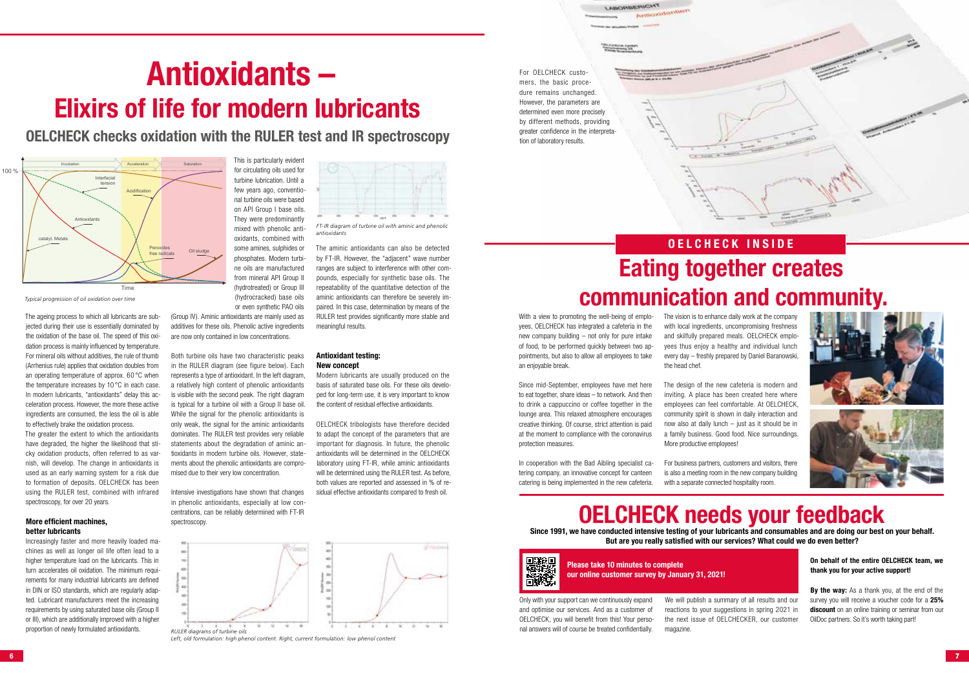

# **Antioxidants – Elixirs of life for modern lubricants**

**OELCHECK checks oxidation with the RULER test and IR spectroscopy** 

The ageing process to which all lubricants are subjected during their use is essentially dominated by the oxidation of the base oil. The speed of this oxidation process is mainly influenced by temperature. For mineral oils without additives, the rule of thumb (Arrhenius rule) applies that oxidation doubles from an operating temperature of approx. 60 °C when the temperature increases by 10 °C in each case. In modern lubricants, "antioxidants" delay this acceleration process. However, the more these active ingredients are consumed, the less the oil is able to effectively brake the oxidation process.

The greater the extent to which the antioxidants have degraded, the higher the likelihood that sticky oxidation products, often referred to as varnish, will develop. The change in antioxidants is used as an early warning system for a risk due to formation of deposits. OELCHECK has been using the RULER test, combined with infrared spectroscopy, for over 20 years.

# **More efficient machines, better lubricants**

Increasingly faster and more heavily loaded machines as well as longer oil life often lead to a higher temperature load on the lubricants. This in turn accelerates oil oxidation. The minimum requirements for many industrial lubricants are defined in DIN or ISO standards, which are regularly adapted. Lubricant manufacturers meet the increasing requirements by using saturated base oils (Group II or III), which are additionally improved with a higher proportion of newly formulated antioxidants.

This is particularly evident for circulating oils used for turbine lubrication. Until a few years ago, conventional turbine oils were based on API Group I base oils. They were predominantly mixed with phenolic antioxidants, combined with some amines, sulphides or phosphates. Modern turbine oils are manufactured from mineral API Group II (hydrotreated) or Group III

(hydrocracked) base oils

or even synthetic PAO oils (Group IV). Aminic antioxidants are mainly used as additives for these oils. Phenolic active ingredients are now only contained in low concentrations.

Both turbine oils have two characteristic peaks in the RULER diagram (see figure below). Each represents a type of antioxidant. In the left diagram, a relatively high content of phenolic antioxidants is visible with the second peak. The right diagram is typical for a turbine oil with a Group II base oil. While the signal for the phenolic antioxidants is only weak, the signal for the aminic antioxidants dominates. The RULER test provides very reliable statements about the degradation of aminic antioxidants in modern turbine oils. However, statements about the phenolic antioxidants are compromised due to their very low concentration.

The vision is to enhance daily work at the company with local ingredients, uncompromising freshness and skilfully prepared meals. OELCHECK employees thus enjoy a healthy and individual lunch every day – freshly prepared by Daniel Baranowski, the head chef.

Intensive investigations have shown that changes in phenolic antioxidants, especially at low concentrations, can be reliably determined with FT-IR spectroscopy.

The aminic antioxidants can also be detected by FT-IR. However, the "adjacent" wave number ranges are subject to interference with other compounds, especially for synthetic base oils. The repeatability of the quantitative detection of the aminic antioxidants can therefore be severely impaired. In this case, determination by means of the RULER test provides significantly more stable and meaningful results.

## **Antioxidant testing: New concept**

Modern lubricants are usually produced on the basis of saturated base oils. For these oils developed for long-term use, it is very important to know the content of residual effective antioxidants.

OELCHECK tribologists have therefore decided to adapt the concept of the parameters that are important for diagnosis. In future, the phenolic antioxidants will be determined in the OELCHECK laboratory using FT-IR, while aminic antioxidants will be determined using the RULER test. As before, both values are reported and assessed in % of residual effective antioxidants compared to fresh oil.



*Typical progression of oil oxidation over time*



*Left, old formulation: high phenol content. Right, current formulation: low phenol content*



*FT-IR diagram of turbine oil with aminic and phenolic antioxidants*



**MORBERICHT** 

# **OELCHECK INSIDE Eating together creates communication and community.**

City Service

With a view to promoting the well-being of employees, OELCHECK has integrated a cafeteria in the new company building – not only for pure intake of food, to be performed quickly between two appointments, but also to allow all employees to take an enjoyable break.

Since mid-September, employees have met here to eat together, share ideas – to network. And then to drink a cappuccino or coffee together in the lounge area. This relaxed atmosphere encourages creative thinking. Of course, strict attention is paid at the moment to compliance with the coronavirus protection measures.

In cooperation with the Bad Aibling specialist catering company, an innovative concept for canteen catering is being implemented in the new cafeteria.

The design of the new cafeteria is modern and inviting. A place has been created here where employees can feel comfortable. At OELCHECK, community spirit is shown in daily interaction and now also at daily lunch – just as it should be in a family business. Good food. Nice surroundings. More productive employees!

For business partners, customers and visitors, there is also a meeting room in the new company building



with a separate connected hospitality room.

# **OELCHECK needs your feedback**

**Since 1991, we have conducted intensive testing of your lubricants and consumables and are doing our best on your behalf. But are you really satisfied with our services? What could we do even better?**



Only with your support can we continuously expand and optimise our services. And as a customer of OELCHECK, you will benefit from this! Your personal answers will of course be treated confidentially.

We will publish a summary of all results and our reactions to your suggestions in spring 2021 in the next issue of OELCHECKER, our customer magazine.

# **On behalf of the entire OELCHECK team, we thank you for your active support!**

**By the way:** As a thank you, at the end of the survey you will receive a voucher code for a **25% discount** on an online training or seminar from our OilDoc partners. So it's worth taking part!

**Please take 10 minutes to complete our online customer survey by January 31, 2021!**